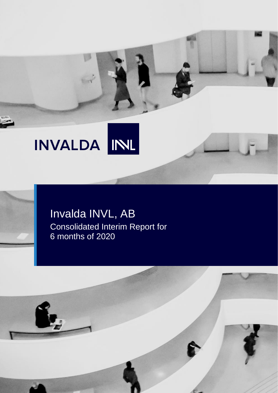# INVALDA INL

## Invalda INVL, AB Consolidated Interim Report for 6 months of 2020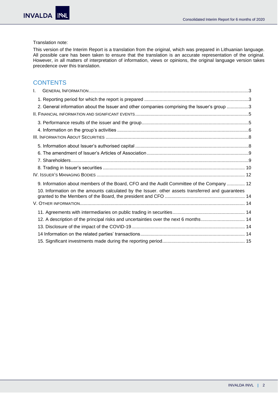#### Translation note:

This version of the Interim Report is a translation from the original, which was prepared in Lithuanian language. All possible care has been taken to ensure that the translation is an accurate representation of the original. However, in all matters of interpretation of information, views or opinions, the original language version takes precedence over this translation.

#### **CONTENTS**

| $\mathbf{L}$ |                                                                                                  |  |
|--------------|--------------------------------------------------------------------------------------------------|--|
|              |                                                                                                  |  |
|              | 2. General information about the Issuer and other companies comprising the Issuer's group 3      |  |
|              |                                                                                                  |  |
|              |                                                                                                  |  |
|              |                                                                                                  |  |
|              |                                                                                                  |  |
|              |                                                                                                  |  |
|              |                                                                                                  |  |
|              |                                                                                                  |  |
|              |                                                                                                  |  |
|              |                                                                                                  |  |
|              | 9. Information about members of the Board, CFO and the Audit Committee of the Company 12         |  |
|              | 10. Information on the amounts calculated by the Issuer. other assets transferred and guarantees |  |
|              |                                                                                                  |  |
|              |                                                                                                  |  |
|              | 12. A description of the principal risks and uncertainties over the next 6 months 14             |  |
|              |                                                                                                  |  |
|              |                                                                                                  |  |
|              |                                                                                                  |  |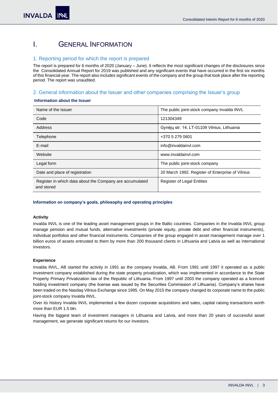## <span id="page-2-0"></span>I. GENERAL INFORMATION

#### <span id="page-2-1"></span>1. Reporting period for which the report is prepared

The report is prepared for 6 months of 2020 (January – June). It reflects the most significant changes of the disclosures since the Consolidated Annual Report for 2019 was published and any significant events that have occurred in the first six months of this financial year. The report also includes significant events of the company and the group that took place after the reporting period. The report was unaudited.

#### <span id="page-2-2"></span>2. General information about the Issuer and other companies comprising the Issuer's group

#### **Information about the Issuer**

| Name of the Issuer                                                     | The public joint-stock company Invalda INVL      |
|------------------------------------------------------------------------|--------------------------------------------------|
| Code                                                                   | 121304349                                        |
| <b>Address</b>                                                         | Gynėjų str. 14, LT-01109 Vilnius, Lithuania      |
| Telephone                                                              | +370 5 279 0601                                  |
| E-mail                                                                 | info@invaldainvl.com                             |
| Website                                                                | www.invaldainvl.com                              |
| Legal form                                                             | The public joint-stock company                   |
| Date and place of registration                                         | 20 March 1992. Register of Enterprise of Vilnius |
| Register in which data about the Company are accumulated<br>and stored | <b>Register of Legal Entities</b>                |

#### **Information on company's goals, philosophy and operating principles**

#### **Activity**

Invalda INVL is one of the leading asset management groups in the Baltic countries. Companies in the Invalda INVL group manage pension and mutual funds, alternative investments (private equity, private debt and other financial instruments), individual portfolios and other financial instruments. Companies of the group engaged in asset management manage over 1 billion euros of assets entrusted to them by more than 200 thousand clients in Lithuania and Latvia as well as international investors.

#### **Experience**

Invalda INVL, AB started the activity in 1991 as the company Invalda, AB. From 1991 until 1997 it operated as a public investment company established during the state property privatization, which was implemented in accordance to the State Property Primary Privatization law of the Republic of Lithuania. From 1997 until 2003 the company operated as a licenced holding investment company (the license was issued by the Securities Commission of Lithuania). Company's shares have been traded on the Nasdaq Vilnius Exchange since 1995. On May 2015 the company changed its corporate name to the public joint-stock company Invalda INVL.

Over its history Invalda INVL implemented a few dozen corporate acquisitions and sales, capital raising transactions worth more than EUR 1.5 bln.

Having the biggest team of investment managers in Lithuania and Latvia, and more than 20 years of successful asset management, we generate significant returns for our investors.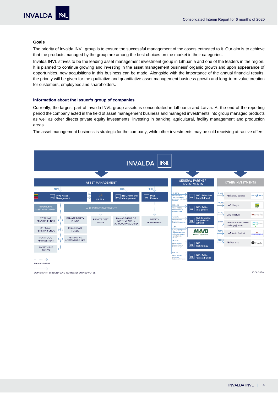#### **Goals**

The priority of Invalda INVL group is to ensure the successful management of the assets entrusted to it. Our aim is to achieve that the products managed by the group are among the best choices on the market in their categories.

Invalda INVL strives to be the leading asset management investment group in Lithuania and one of the leaders in the region. It is planned to continue growing and investing in the asset management business' organic growth and upon appearance of opportunities, new acquisitions in this business can be made. Alongside with the importance of the annual financial results, the priority will be given for the qualitative and quantitative asset management business growth and long-term value creation for customers, employees and shareholders.

#### **Information about the Issuer's group of companies**

Currently, the largest part of Invalda INVL group assets is concentrated in Lithuania and Latvia. At the end of the reporting period the company acted in the field of asset management business and managed investments into group managed products as well as other directs private equity investments, investing in banking, agricultural, facility management and production areas.

The asset management business is strategic for the company, while other investments may be sold receiving attractive offers.



OWNERSHIP. DIRECTLY AND INDIRECTLY OWNED VOTES

30.06.2020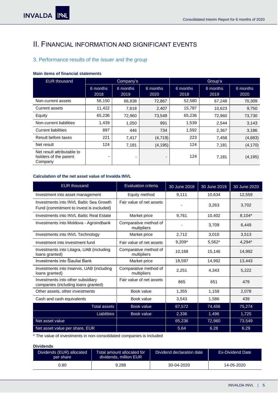## <span id="page-4-0"></span>II. FINANCIAL INFORMATION AND SIGNIFICANT EVENTS

### <span id="page-4-1"></span>3. Performance results of the issuer and the group

#### **Main items of financial statements**

| <b>EUR thousand</b>                                            | Company's        |                  | Group's          |                  |                  |                  |
|----------------------------------------------------------------|------------------|------------------|------------------|------------------|------------------|------------------|
|                                                                | 6 months<br>2018 | 6 months<br>2019 | 6 months<br>2020 | 6 months<br>2018 | 6 months<br>2019 | 6 months<br>2020 |
| Non-current assets                                             | 56,150           | 66,838           | 72,867           | 52,580           | 67.248           | 70,309           |
| <b>Current assets</b>                                          | 11,422           | 7,618            | 2,407            | 15,787           | 10,623           | 9,750            |
| Equity                                                         | 65,236           | 72,960           | 73,549           | 65,236           | 72,960           | 73,730           |
| Non-current liabilities                                        | 1,439            | 1,050            | 991              | 1,539            | 2,544            | 3,143            |
| <b>Current liabilities</b>                                     | 897              | 446              | 734              | 1,592            | 2,367            | 3,186            |
| Result before taxes                                            | 221              | 7,417            | (4, 719)         | 223              | 7,458            | (4,683)          |
| Net result                                                     | 124              | 7,181            | (4, 195)         | 124              | 7,181            | (4, 170)         |
| Net result attributable to<br>holders of the parent<br>Company | -                | ۰                | -                | 124              | 7,181            | (4, 195)         |

#### **Calculation of the net asset value of Invalda INVL**

| <b>EUR thousand</b>                                                                | <b>Evaluation criteria</b>           | 30 June 2018 | 30 June 2019 | 30 June 2020 |
|------------------------------------------------------------------------------------|--------------------------------------|--------------|--------------|--------------|
| Investment into asset management                                                   | Equity method                        | 9,111        | 10,634       | 12,559       |
| Investments into INVL Baltic Sea Growth<br>Fund (commitment to invest is excluded) | Fair value of net assets             |              | 3,263        | 3.702        |
| Investments into INVL Baltic Real Estate                                           | Market price                         | 9,761        | 10,402       | 8,104*       |
| Investments into Moldova - Agroindbank                                             | Comparative method of<br>multipliers |              | 3,709        | 6,449        |
| Investments into INVL Technology                                                   | Market price                         | 2,712        | 3,010        | 3,513        |
| Investment into investment fund                                                    | Fair value of net assets             | $9,209*$     | 5,562*       | 4,294*       |
| Investments into Litagra, UAB (including<br>loans granted)                         | Comparative method of<br>multipliers | 10,168       | 15,146       | 14,992       |
| Investments into Šiauliai Bank                                                     | Market price                         | 18,597       | 14.992       | 13,443       |
| Investments into Inservis, UAB (including<br>loans granted)                        | Comparative method of<br>multipliers | 2.251        | 4.343        | 5,222        |
| Investments into other subsidiary<br>companies (including loans granted)           | Fair value of net assets             | 865          | 651          | 479          |
| Other assets, other investments                                                    | Book value                           | 1,355        | 1,158        | 2,078        |
| Cash and cash equivalents                                                          | Book value                           | 3,543        | 1,586        | 439          |
| <b>Total assets</b>                                                                | Book value                           | 67,572       | 74,456       | 75,274       |
| <b>Liabilities</b>                                                                 | Book value                           | 2,336        | 1,496        | 1,725        |
| Net asset value                                                                    |                                      | 65,236       | 72,960       | 73,549       |
| Net asset value per share, EUR                                                     |                                      | 5.64         | 6.28         | 6.29         |

\* The value of investments in non-consolidated companies is included

#### **Dividends**

| Dividends (EUR) allocated<br>Total amount allocated for '<br>dividends, million EUR<br>per share |       | Dividend declaration date | Ex-Dividend Date |  |
|--------------------------------------------------------------------------------------------------|-------|---------------------------|------------------|--|
| 0.80                                                                                             | 9.288 | 30-04-2020                | 14-05-2020       |  |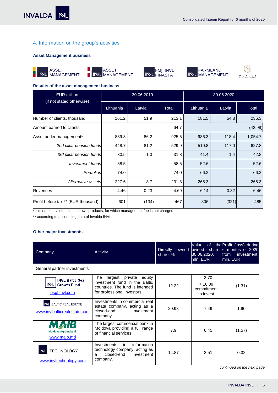#### <span id="page-5-0"></span>4. Information on the group's activities

#### **Asset Management business**











 $(1)$ MUNDUS

j

#### **Results of the asset management business**

| <b>EUR million</b>                  | 30.06.2019 |        |       | 30.06.2020 |        |         |
|-------------------------------------|------------|--------|-------|------------|--------|---------|
| (if not stated otherwise)           | Lithuania  | Latvia | Total | Lithuania  | Latvia | Total   |
| Number of clients, thousand         | 161.2      | 51.9   | 213.1 | 181.5      | 54.8   | 236.3   |
| Amount earned to clients            |            |        | 64.7  |            |        | (42.98) |
| Asset under management*             | 839.3      | 86.2   | 925.5 | 936.3      | 118.4  | 1,054.7 |
| 2nd pillar pension funds            | 448.7      | 81.2   | 529.9 | 510.8      | 117.0  | 627.8   |
| 3rd pillar pension funds            | 30.5       | 1.3    | 31.8  | 41.4       | 1.4    | 42.8    |
| Investment funds                    | 58.5       |        | 58.5  | 52.6       |        | 52.6    |
| Portfolios                          | 74.0       |        | 74.0  | 66.2       |        | 66.2    |
| Alternative assets                  | 227.6      | 3.7    | 231.3 | 265.3      |        | 265.3   |
| Revenues                            | 4.46       | 0.23   | 4.69  | 6.14       | 0.32   | 6.46    |
| Profit before tax ** (EUR thousand) | 601        | (134)  | 467   | 806        | (321)  | 485     |

\*eliminated investments into own products, for which management fee is not charged

\*\* according to accounting data of Invalda INVL

#### **Other major investments**

| Company                                                      | Activity                                                                                                                            | <b>Directly</b><br>share, % | Value<br>0f<br>30.06.2020,<br>mln. EUR      | the Profit (loss) during<br>owned owned shares 6 months of 2020<br>from<br>investment.<br>mln. EUR |
|--------------------------------------------------------------|-------------------------------------------------------------------------------------------------------------------------------------|-----------------------------|---------------------------------------------|----------------------------------------------------------------------------------------------------|
| General partner investments                                  |                                                                                                                                     |                             |                                             |                                                                                                    |
| <b>INVL Baltic Sea</b><br>INL   Growth Fund<br>bsgf.invl.com | largest private<br>The<br>equity<br>investment fund in the Baltic<br>countries. The fund is intended<br>for professional investors. | 12.22                       | 3.70<br>$+16.09$<br>commitment<br>to invest | (1.31)                                                                                             |
| INL BALTIC REAL ESTATE<br>www.invlbalticrealestate.com       | Investments in commercial real<br>estate company, acting as a<br>closed-end<br>investment<br>company.                               | 29.98                       | 7.49                                        | 1.90                                                                                               |
| AIB<br><b>Moldova Agroindbank</b><br>www.maib.md             | The largest commercial bank in<br>Moldova providing a full range<br>of financial services                                           | 7.9                         | 6.45                                        | (1.57)                                                                                             |
| <b>TECHNOLOGY</b><br>www.invltechnology.com                  | Investments<br>information<br>in<br>technology company, acting as<br>closed-end<br>investment<br>a<br>company.                      | 14.87                       | 3.51                                        | 0.32                                                                                               |

*continued on the next page*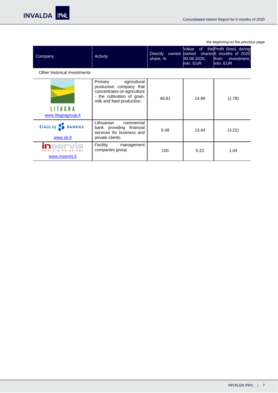INVALDA INL

*the beginning on the previous page*

j

| Company                                      | Activity                                                                                                                                      | <b>Directly</b><br>owned owned<br>share, % | Value<br>30.06.2020,<br>mln. EUR | of the Profit (loss) during<br>shares 6 months of 2020<br>from<br>investment,<br>mln. EUR |
|----------------------------------------------|-----------------------------------------------------------------------------------------------------------------------------------------------|--------------------------------------------|----------------------------------|-------------------------------------------------------------------------------------------|
| Other historical investments                 |                                                                                                                                               |                                            |                                  |                                                                                           |
| LITAGRA<br>www.litagragroup.lt               | agricultural<br>Primary<br>production company that<br>concentrates on agriculture<br>- the cultivation of grain,<br>milk and feed production. | 48.81                                      | 14.99                            | (1.78)                                                                                    |
| <b>ŠIAULIŲ</b><br><b>BANKAS</b><br>www.sb.lt | Lithuanian<br>commercial<br>bank providing financial<br>services for business and<br>private clients.                                         | 5.48                                       | 13.44                            | (3.22)                                                                                    |
| TATU PRIEŽIŪRA<br>www.inservis.lt            | Facility<br>management<br>companies group                                                                                                     | 100                                        | 5.22                             | 1.04                                                                                      |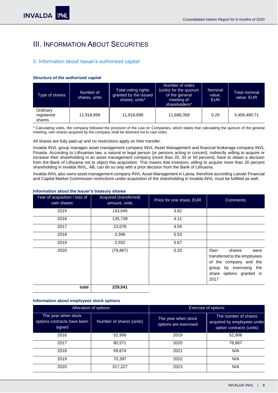## <span id="page-7-0"></span>III. INFORMATION ABOUT SECURITIES

#### <span id="page-7-1"></span>5. Information about Issuer's authorised capital

#### **Structure of the authorized capital**

| Type of shares                   | Number of<br>shares, units | Total voting rights<br>granted by the issued<br>shares, units* | Number of votes<br>(units) for the quorum<br>of the general<br>meeting of<br>shareholders* | Nominal<br>value,<br><b>EUR</b> | Total nominal<br>value, EUR |
|----------------------------------|----------------------------|----------------------------------------------------------------|--------------------------------------------------------------------------------------------|---------------------------------|-----------------------------|
| Ordinary<br>registered<br>shares | 11,918,899                 | 11,918,899                                                     | 11,689,358                                                                                 | 0.29                            | 3,456,480.71                |

\* Calculating votes, the company followed the provision of the Law on Companies, which states that calculating the quorum of the general meeting, own shares acquired by the company shall be deemed not to cast votes

#### All shares are fully paid-up and no restrictions apply on their transfer.

Invalda INVL group manages asset management company INVL Asset Management and financial brokerage company INVL Finasta. According to Lithuanian law, a natural or legal person (or persons acting in concert), indirectly willing to acquire or increase their shareholding in an asset management company (more than 20, 30 or 50 percent), have to obtain a decision from the Bank of Lithuania not to object this acquisition. This means that investors, willing to acquire more than 20 percent shareholding in Invalda INVL, AB, can do so only with a prior decision from the Bank of Lithuania.

Invalda INVL also owns asset management company INVL Asset Management in Latvia, therefore according Latvian Financial and Capital Market Commission restrictions under acquisition of the shareholding in Invalda INVL must be fulfilled as well.

| Year of acquisition / loss of<br>own shares | Acquired (transferred)<br>amount, units | Price for one share, EUR | <b>Comments</b>                                                                                                                                   |
|---------------------------------------------|-----------------------------------------|--------------------------|---------------------------------------------------------------------------------------------------------------------------------------------------|
| 2015                                        | 143,645                                 | 3.82                     |                                                                                                                                                   |
| 2016                                        | 135,739                                 | 4.11                     |                                                                                                                                                   |
| 2017                                        | 23,076                                  | 4.55                     |                                                                                                                                                   |
| 2018                                        | 3,396                                   | 5.53                     |                                                                                                                                                   |
| 2019                                        | 2,552                                   | 5.67                     |                                                                                                                                                   |
| 2020                                        | (78, 867)                               | 0.20                     | Own<br>shares<br>were<br>transferred to the employees<br>of the company and the<br>by exercising the<br>group<br>share options granted in<br>2017 |
| total                                       | 229,541                                 |                          |                                                                                                                                                   |

#### **Information about the Issuer's treasury shares**

#### **Information about employees stock options**

|                                                              | Allocation of options    | Exercise of options                          |                                                                                 |  |
|--------------------------------------------------------------|--------------------------|----------------------------------------------|---------------------------------------------------------------------------------|--|
| The year when stock<br>options contracts have been<br>signed | Number of shares (units) | The year when stock<br>options are exercised | The number of shares<br>acquired by employees under<br>option contracts (units) |  |
| 2016                                                         | 52,906                   | 2019                                         | 52,906                                                                          |  |
| 2017                                                         | 80,571                   | 2020                                         | 78,867                                                                          |  |
| 2018                                                         | 59,674                   | 2021                                         | N/A                                                                             |  |
| 2019                                                         | 70,397                   | 2022                                         | N/A                                                                             |  |
| 2020                                                         | 317,227                  | 2023                                         | N/A                                                                             |  |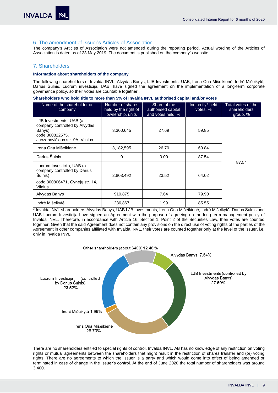#### <span id="page-8-0"></span>6. The amendment of Issuer's Articles of Association

The company's Articles of Association were not amended during the reporting period. Actual wording of the Articles of Association is dated as of 23 May 2019. The document is published on the company'[s website.](https://www.invaldainvl.com/lit/en/investor-relations/articles-of-association)

#### <span id="page-8-1"></span>7. Shareholders

#### **Information about shareholders of the company**

The following shareholders of Invalda INVL: Alvydas Banys, LJB Investments, UAB, Irena Ona Mišeikienė, Indrė Mišeikytė, Darius Šulnis, Lucrum investicija, UAB, have signed the agreement on the implementation of a long-term corporate governance policy, so their votes are countable together .

**Shareholders who hold title to more than 5% of Invalda INVL authorised capital and/or votes** 

| Name of the shareholder or<br>company                                                                                    | Number of shares<br>held by the right of<br>ownership, units | Share of the<br>authorised capital<br>and votes held, % | Indirectly* held<br>votes, % | Total votes of the<br>shareholders<br>group, % |
|--------------------------------------------------------------------------------------------------------------------------|--------------------------------------------------------------|---------------------------------------------------------|------------------------------|------------------------------------------------|
| LJB Investments, UAB (a<br>company controlled by Alvydas<br>Banys)<br>code 300822575,<br>Juozapavičiaus str. 9A, Vilnius | 3,300,645                                                    | 27.69                                                   | 59.85                        |                                                |
| Irena Ona Mišeikienė                                                                                                     | 3,182,595                                                    | 26.70                                                   | 60.84                        |                                                |
| Darius Šulnis                                                                                                            | 0                                                            | 0.00                                                    | 87.54                        |                                                |
| Lucrum Investicija, UAB (a<br>company controlled by Darius<br>Šulnis)<br>code 300806471, Gynėjų str. 14,<br>Vilnius      | 2,803,492                                                    | 23.52                                                   | 64.02                        | 87.54                                          |
| Alvydas Banys                                                                                                            | 910,875                                                      | 7.64                                                    | 79.90                        |                                                |
| Indrė Mišeikytė                                                                                                          | 236,867                                                      | 1.99                                                    | 85.55                        |                                                |

\* Invalda INVL shareholders Alvydas Banys, UAB LJB Investments, Irena Ona Mišeikienė, Indrė Mišeikytė, Darius Sulnis and UAB Lucrum Investicija have signed an Agreement with the purpose of agreeing on the long-term management policy of Invalda INVL. Therefore, in accordance with Article 16, Section 1, Point 2 of the Securities Law, their votes are counted together. Given that the said Agreement does not contain any provisions on the direct use of voting rights of the parties of the Agreement in other companies affiliated with Invalda INVL, their votes are counted together only at the level of the issuer, i.e. only in Invalda INVL.



There are no shareholders entitled to special rights of control. Invalda INVL, AB has no knowledge of any restriction on voting rights or mutual agreements between the shareholders that might result in the restriction of shares transfer and (or) voting rights. There are no agreements to which the Issuer is a party and which would come into effect of being amended or terminated in case of change in the Issuer's control. At the end of June 2020 the total number of shareholders was around 3,400.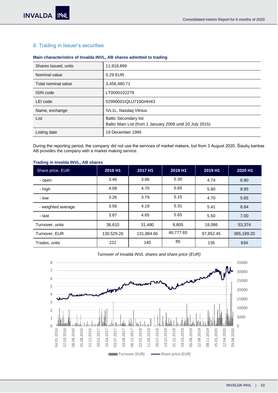#### <span id="page-9-0"></span>8. Trading in Issuer's securities

#### **Main characteristics of Invalda INVL, AB shares admitted to trading**

| Shares issued, units | 11,918,899                                                                                |
|----------------------|-------------------------------------------------------------------------------------------|
| Nominal value        | 0.29 EUR                                                                                  |
| Total nominal value  | 3,456,480.71                                                                              |
| <b>ISIN code</b>     | LT0000102279                                                                              |
| LEI code             | 52990001IQUJ710GHH43                                                                      |
| Name, exchange       | <b>IVL1L, Nasdaq Vilnius</b>                                                              |
| List                 | <b>Baltic Secondary list</b><br>Baltic Main List (from 1 January 2008 until 20 July 2015) |
| Listing date         | 19 December 1995                                                                          |

During the reporting period, the company did not use the services of market makers, but from 3 August 2020, Šiaulių bankas AB provides the company with a market making service.

#### **Trading in Invalda INVL, AB shares**

| Share price, EUR   | 2016 H1    | 2017 H1    | 2018 H1   | 2019 H1   | 2020 H1    |
|--------------------|------------|------------|-----------|-----------|------------|
| - open             | 3.46       | 3.86       | 5.30      | 4.74      | 6.80       |
| - high             | 4.08       | 4.70       | 5.65      | 5.80      | 8.95       |
| - Iow              | 3.26       | 3.79       | 5.15      | 4.70      | 5.65       |
| - weighted average | 3.56       | 4.19       | 5.31      | 5.41      | 6.84       |
| - last             | 3.87       | 4.65       | 5.65      | 5.50      | 7.00       |
| Turnover, units    | 36,610     | 31,480     | 8,805     | 18,086    | 53,374     |
| Turnover, EUR      | 130,529.26 | 131,884.66 | 46,777.65 | 97,852.45 | 365,199.20 |
| Trades, units      | 222        | 140        | 85        | 135       | 634        |

#### *Turnover of Invalda INVL shares and share price (EUR)*

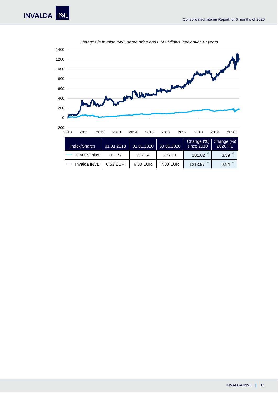<span id="page-10-0"></span>

*Changes in Invalda INVL share price and OMX Vilnius index over 10 years*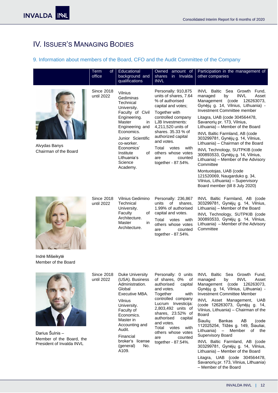## IV. ISSUER'S MANAGING BODIES

#### <span id="page-11-0"></span>9. Information about members of the Board, CFO and the Audit Committee of the Company

|                                        | Term<br>of<br>office            | Educational<br>background and<br>qualifications                                                                                                                                                                                                 | Owned amount of<br>shares<br>in Invalda<br><b>INVL</b>                                                                                                                                                                                                                                                                   | Participation in the management of<br>other companies                                                                                                                                                                                                                                                                                                                                                                                                                                                                                                                                                                                                       |
|----------------------------------------|---------------------------------|-------------------------------------------------------------------------------------------------------------------------------------------------------------------------------------------------------------------------------------------------|--------------------------------------------------------------------------------------------------------------------------------------------------------------------------------------------------------------------------------------------------------------------------------------------------------------------------|-------------------------------------------------------------------------------------------------------------------------------------------------------------------------------------------------------------------------------------------------------------------------------------------------------------------------------------------------------------------------------------------------------------------------------------------------------------------------------------------------------------------------------------------------------------------------------------------------------------------------------------------------------------|
| Alvydas Banys<br>Chairman of the Board | Since 2018<br>until 2022        | Vilnius<br>Gediminas<br>Technical<br>University.<br>Faculty of Civil<br>Engineering.<br>Master<br>in<br>Engineering and<br>Economics.<br>Junior Scientific<br>co-worker.<br>Economics'<br>Institute<br>of<br>Lithuania's<br>Science<br>Academy. | Personally: 910,875<br>units of shares, 7.64<br>% of authorised<br>capital and votes;<br>Together with<br>controlled company<br>LJB Investments:<br>4,211,520 units of<br>shares. 35.33 % of<br>authorized capital<br>and votes.<br>Total<br>votes<br>with<br>others whose votes<br>counted<br>are<br>together - 87.54%. | INVL Baltic Sea Growth Fund.<br><b>INVL</b><br>managed<br>by<br>Asset<br>Management (code<br>126263073,<br>Gynėjų g. 14, Vilnius, Lithuania) -<br>Investment Committee member<br>Litagra, UAB (code 304564478,<br>Savanorių pr. 173, Vilnius,<br>Lithuania) - Member of the Board<br>INVL Baltic Farmland, AB (code<br>303299781, Gynėjų g. 14, Vilnius,<br>Lithuania) - Chairman of the Board<br>INVL Technology, SUTPKIB (code<br>300893533, Gynėjų g. 14, Vilnius,<br>Lithuania) - Member of the Advisory<br>Committee<br>Montuotojas, UAB (code<br>121520069, Naugarduko g. 34,<br>Vilnius, Lithuania) - Supervisory<br>Board member (till 8 July 2020) |
| Indrė Mišeikytė<br>Member of the Board | <b>Since 2018</b><br>until 2022 | Vilnius Gedimino<br>Technical<br>University.<br>Faculty<br>οf<br>Architecture.<br>Master<br>in<br>Architecture.                                                                                                                                 | Personally: 236,867<br>units<br>of<br>shares.<br>1.99% of authorised<br>capital and votes.<br>Total<br>votes<br>with<br>others whose votes<br>are<br>counted<br>together - 87.54%.                                                                                                                                       | INVL Baltic Farmland, AB (code<br>303299781, Gynėjų g. 14, Vilnius,<br>Lithuania) - Member of the Board<br>INVL Technology, SUTPKIB (code<br>300893533, Gynėjų g. 14, Vilnius,<br>Lithuania) - Member of the Advisory<br>Committee                                                                                                                                                                                                                                                                                                                                                                                                                          |
|                                        | <b>Since 2018</b><br>until 2022 | Duke University<br>(USA). Business<br>Administration                                                                                                                                                                                            | Personally: 0 units<br>of shares, 0%<br>of<br>canital<br>authorised                                                                                                                                                                                                                                                      | <b>INVL Baltic Sea Growth</b><br>Fund,<br>managed<br><b>INVL</b><br>Asset<br>by<br>Management (code 126263073                                                                                                                                                                                                                                                                                                                                                                                                                                                                                                                                               |



Darius Šulnis – Member of the Board, the President of Invalda INVL

Administration. Global Executive MBA. Vilnius University. Faculty of Economics. Master in Accounting and Audit. Financial broker's license (general) No. A109.

authorised capital and votes. Together with controlled company Lucrum Investicija: 2,803,492 units of shares, 23.52% of authorised capital and votes. Total votes with others whose votes are counted together - 87.54%.

Management (code 126263073, Gynėjų g. 14, Vilnius, Lithuania) - Investment Committee Member

INVL Asset Management, UAB (code 126263073, Gynėjų g. 14, Vilnius, Lithuania) – Chairman of the Board

Šiaulių Bankas AB (code 112025254, Tilžės g. 149, Šiauliai, Lithuania) – Member of the Supervisory Board

INVL Baltic Farmland, AB (code 303299781, Gynėjų g. 14, Vilnius, Lithuania) – Member of the Board

Litagra, UAB (code 304564478, Savanorių pr. 173, Vilnius, Lithuania) – Member of the Board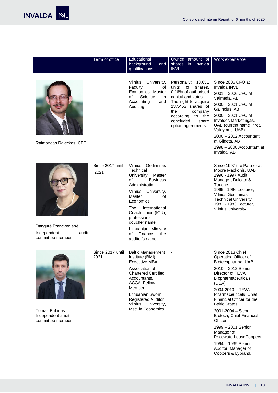|                                                                  | Term of office           | Educational<br>background<br>and<br>qualifications                                                                                                                                                                                                                                                            | Owned amount of<br>shares<br>in Invalda<br><b>INVL</b>                                                                                                                                                                         | Work experience                                                                                                                                                                                                                                                                                                                                                                                                           |
|------------------------------------------------------------------|--------------------------|---------------------------------------------------------------------------------------------------------------------------------------------------------------------------------------------------------------------------------------------------------------------------------------------------------------|--------------------------------------------------------------------------------------------------------------------------------------------------------------------------------------------------------------------------------|---------------------------------------------------------------------------------------------------------------------------------------------------------------------------------------------------------------------------------------------------------------------------------------------------------------------------------------------------------------------------------------------------------------------------|
| Raimondas Rajeckas CFO                                           |                          | Vilnius<br>University,<br>Faculty<br>οf<br>Economics, Master<br>Science<br>οf<br>in<br>Accounting<br>and<br>Auditing                                                                                                                                                                                          | Personally: 18,651<br>units<br>of<br>shares,<br>0.16% of authorised<br>capital and votes.<br>The right to acquire<br>137,453 shares of<br>the<br>company<br>according<br>to<br>the<br>concluded<br>share<br>option agreements. | Since 2006 CFO at<br>Invalda INVL<br>2001 - 2006 CFO at<br>Valmeda, AB<br>2000 - 2001 CFO at<br>Galincius, AB<br>2000 - 2001 CFO at<br>Invaldos Marketingas,<br>UAB (current name Inreal<br>Valdymas. UAB)<br>2000 - 2002 Accountant<br>at Gildeta, AB<br>1998 - 2000 Accountant at<br>Invalda, AB                                                                                                                        |
| Dangutė Pranckėnienė<br>Independent<br>audit<br>committee member | Since 2017 until<br>2021 | Vilnius Gediminas<br>Technical<br>University,<br>Master<br><b>Business</b><br>οf<br>Administration.<br>Vilnius<br>University,<br>Master<br>οf<br>Economics.<br>International<br>The<br>Coach Union (ICU),<br>professional<br>coucher name.<br>Lithuanian Ministry<br>Finance,<br>the<br>of<br>auditor's name. |                                                                                                                                                                                                                                | Since 1997 the Partner at<br>Moore Mackonis, UAB<br>1996 - 1997 Audit<br>Manager, Deloitte &<br>Touche<br>1995 - 1996 Lecturer,<br><b>Vilnius Gediminas</b><br><b>Technical University</b><br>1982 - 1983 Lecturer,<br><b>Vilnius University</b>                                                                                                                                                                          |
| <b>Tomas Bubinas</b><br>Independent audit<br>committee member    | Since 2017 until<br>2021 | <b>Baltic Management</b><br>Institute (BMI),<br><b>Executive MBA</b><br>Association of<br><b>Chartered Certified</b><br>Accountants.<br><b>ACCA. Fellow</b><br>Member<br>Lithuanian Sworn<br><b>Registered Auditor</b><br>Vilnius University,<br>Msc. in Economics                                            |                                                                                                                                                                                                                                | Since 2013 Chief<br>Operating Officer of<br>Biotechpharma, UAB.<br>2010 - 2012 Senior<br>Director of TEVA<br>Biopharmaceuticals<br>(USA).<br>2004-2010 - TEVA<br>Pharmaceuticals, Chief<br>Financial Officer for the<br><b>Baltic States.</b><br>$2001 - 2004 -$ Sicor<br>Biotech, Chief Financial<br>Officer<br>1999 - 2001 Senior<br>Manager of<br>PricewaterhouseCoopers.<br>1994 - 1999 Senior<br>Auditor, Manager of |

Coopers & Lybrand.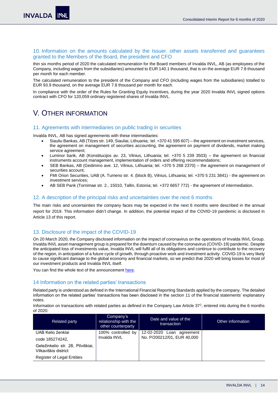#### <span id="page-13-0"></span>10. Information on the amounts calculated by the Issuer. other assets transferred and guarantees granted to the Members of the Board, the president and CFO

thin six months period of 2020 the calculated remuneration for the Board members of Invalda INVL, AB (as employees of the Company, including wages from the subsidiaries) amounted to EUR 140.1 thousand, that is on the average EUR 7.8 thousand per month for each member.

The calculated remuneration to the president of the Company and CFO (including wages from the subsidiaries) totalled to EUR 93.9 thousand, on the average EUR 7.8 thousand per month for each.

In compliance with the order of the Rules for Granting Equity Incentives, during the year 2020 Invalda INVL signed options contract with CFO for 120,059 ordinary registered shares of Invalda INVL.

## <span id="page-13-1"></span>V. OTHER INFORMATION

#### <span id="page-13-2"></span>11. Agreements with intermediaries on public trading in securities

Invalda INVL, AB has signed agreements with these intermediaries:

- Siauliu Bankas, AB (Tilzes str. 149, Siauliai, Lithuania; tel. +370 41 595 607) the agreement on investment services, the agreement on management of securities accounting, the agreement on payment of dividends, market making service agreement;
- Luminor bank, AB (Konstitucijos av. 23, Vilnius, Lithuania; tel. +370 5 239 3503) the agreement on financial instruments account management, implementation of orders and offering recommendations;
- SEB Bankas, AB (Gedimino ave. 12, Vilnius, Lithuania; tel. +370 5 268 2370) the agreement on management of securities account;
- FMI Orion Securities, UAB (A. Tumeno str. 4. (block B), Vilnius, Lithuania; tel. +370 5 231 3841) the agreement on investment services;
- AB SEB Pank (Tornimae str. 2., 15010, Tallin, Estonia; tel. +372 6657 772) the agreement of intermediation.

#### <span id="page-13-3"></span>12. A description of the principal risks and uncertainties over the next 6 months

The main risks and uncertainties the company faces may be expected in the next 6 months were described in the annual report for 2019. This information didn't change. In addition, the potential impact of the COVID-19 pandemic is disclosed in Article 13 of this report.

#### <span id="page-13-4"></span>13. Disclosure of the impact of the COVID-19

On 20 March 2020, the Company disclosed information on the impact of coronavirus on the operations of Invalda INVL Group. Invalda INVL asset management group is prepared for the downturn caused by the coronavirus (COVID-19) pandemic. Despite the anticipated loss of investments value, Invalda INVL will fulfil all of its obligations and continue to contribute to the recovery of the region, in anticipation of a future cycle of growth, through proactive work and investment activity. COVID-19 is very likely to cause significant damage to the global economy and financial markets, so we predict that 2020 will bring losses for most of our investment products and Invalda INVL itself.

You can find the whole text of the announcement [here.](https://www.invaldainvl.com/1/en/articles/articles/view/3685/impact-of-the-coronavirus-covid-19-on-the-activities)

#### <span id="page-13-5"></span>14 Information on the related parties' transactions

Related party is understood as defined in the International Financial Reporting Standards applied by the company. The detailed information on the related parties' transactions has been disclosed in the section 11 of the financial statements' explanatory notes.

Information on transactions with related parties as defined in the Company Law Article  $37^2$ , entered into during the 6 months of 2020:

| <b>Related party</b>                                      | Company's<br>relationship with the<br>other counterparty | Date and value of the<br>transaction | Other information |
|-----------------------------------------------------------|----------------------------------------------------------|--------------------------------------|-------------------|
| UAB Kelio ženklai                                         | 100% controlled by                                       | 12-02-2020 Loan agreement            |                   |
| code 185274242,                                           | Invalda INVL                                             | No. P/200212/01, EUR 40,000          |                   |
| Geležinkelio str. 28, Pilviškiai,<br>Vilkaviškis district |                                                          |                                      |                   |
| <b>Register of Legal Entities</b>                         |                                                          |                                      |                   |